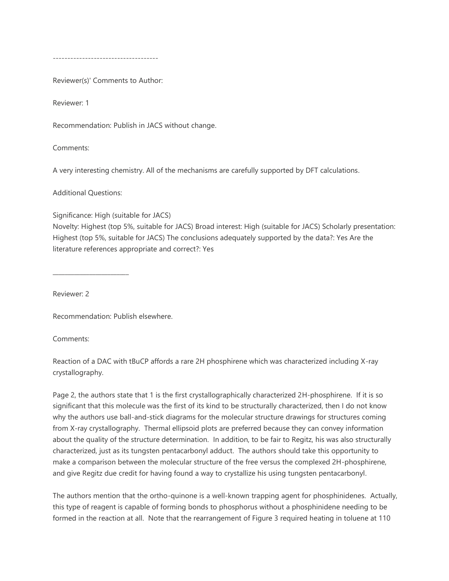------------------------------------

Reviewer(s)' Comments to Author:

Reviewer: 1

Recommendation: Publish in JACS without change.

Comments:

A very interesting chemistry. All of the mechanisms are carefully supported by DFT calculations.

Additional Questions:

\_\_\_\_\_\_\_\_\_\_\_\_\_\_\_\_\_\_\_\_\_\_\_\_\_

Significance: High (suitable for JACS)

Novelty: Highest (top 5%, suitable for JACS) Broad interest: High (suitable for JACS) Scholarly presentation: Highest (top 5%, suitable for JACS) The conclusions adequately supported by the data?: Yes Are the literature references appropriate and correct?: Yes

Reviewer: 2

Recommendation: Publish elsewhere.

Comments:

Reaction of a DAC with tBuCP affords a rare 2H phosphirene which was characterized including X-ray crystallography.

Page 2, the authors state that 1 is the first crystallographically characterized 2H-phosphirene. If it is so significant that this molecule was the first of its kind to be structurally characterized, then I do not know why the authors use ball-and-stick diagrams for the molecular structure drawings for structures coming from X-ray crystallography. Thermal ellipsoid plots are preferred because they can convey information about the quality of the structure determination. In addition, to be fair to Regitz, his was also structurally characterized, just as its tungsten pentacarbonyl adduct. The authors should take this opportunity to make a comparison between the molecular structure of the free versus the complexed 2H-phosphirene, and give Regitz due credit for having found a way to crystallize his using tungsten pentacarbonyl.

The authors mention that the ortho-quinone is a well-known trapping agent for phosphinidenes. Actually, this type of reagent is capable of forming bonds to phosphorus without a phosphinidene needing to be formed in the reaction at all. Note that the rearrangement of Figure 3 required heating in toluene at 110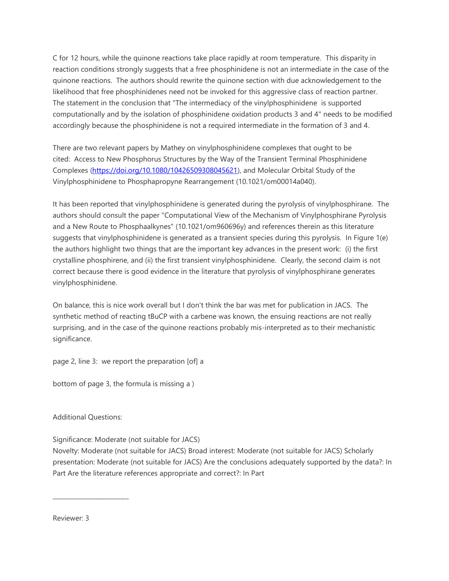C for 12 hours, while the quinone reactions take place rapidly at room temperature. This disparity in reaction conditions strongly suggests that a free phosphinidene is not an intermediate in the case of the quinone reactions. The authors should rewrite the quinone section with due acknowledgement to the likelihood that free phosphinidenes need not be invoked for this aggressive class of reaction partner. The statement in the conclusion that "The intermediacy of the vinylphosphinidene is supported computationally and by the isolation of phosphinidene oxidation products 3 and 4" needs to be modified accordingly because the phosphinidene is not a required intermediate in the formation of 3 and 4.

There are two relevant papers by Mathey on vinylphosphinidene complexes that ought to be cited: Access to New Phosphorus Structures by the Way of the Transient Terminal Phosphinidene Complexes [\(https://doi.org/10.1080/10426509308045621\)](https://doi.org/10.1080/10426509308045621), and Molecular Orbital Study of the Vinylphosphinidene to Phosphapropyne Rearrangement (10.1021/om00014a040).

It has been reported that vinylphosphinidene is generated during the pyrolysis of vinylphosphirane. The authors should consult the paper "Computational View of the Mechanism of Vinylphosphirane Pyrolysis and a New Route to Phosphaalkynes" (10.1021/om960696y) and references therein as this literature suggests that vinylphosphinidene is generated as a transient species during this pyrolysis. In Figure 1(e) the authors highlight two things that are the important key advances in the present work: (i) the first crystalline phosphirene, and (ii) the first transient vinylphosphinidene. Clearly, the second claim is not correct because there is good evidence in the literature that pyrolysis of vinylphosphirane generates vinylphosphinidene.

On balance, this is nice work overall but I don't think the bar was met for publication in JACS. The synthetic method of reacting tBuCP with a carbene was known, the ensuing reactions are not really surprising, and in the case of the quinone reactions probably mis-interpreted as to their mechanistic significance.

page 2, line 3: we report the preparation [of] a

bottom of page 3, the formula is missing a )

Additional Questions:

\_\_\_\_\_\_\_\_\_\_\_\_\_\_\_\_\_\_\_\_\_\_\_\_\_

Significance: Moderate (not suitable for JACS)

Novelty: Moderate (not suitable for JACS) Broad interest: Moderate (not suitable for JACS) Scholarly presentation: Moderate (not suitable for JACS) Are the conclusions adequately supported by the data?: In Part Are the literature references appropriate and correct?: In Part

Reviewer: 3